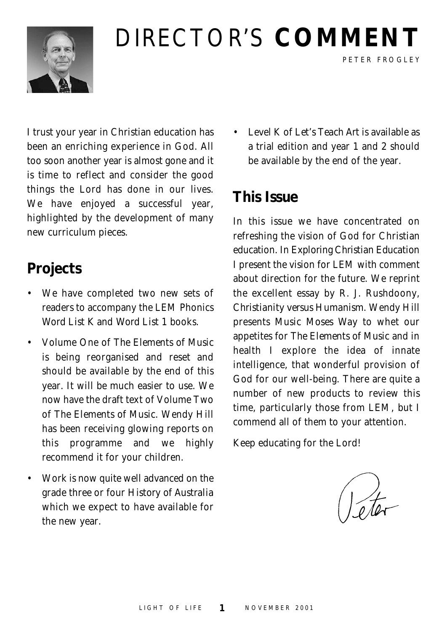

## DIRECTOR'S **COMMENT**

I trust your year in Christian education has been an enriching experience in God. All too soon another year is almost gone and it is time to reflect and consider the good things the Lord has done in our lives. We have enjoyed a successful year, highlighted by the development of many new curriculum pieces.

#### **Projects**

- We have completed two new sets of readers to accompany the LEM Phonics *Word List K* and *Word List 1* books.
- Volume One of *The Elements of Music* is being reorganised and reset and should be available by the end of this year. It will be much easier to use. We now have the draft text of Volume Two of *The Elements of Music.* Wendy Hill has been receiving glowing reports on this programme and we highly recommend it for your children.
- Work is now quite well advanced on the grade three or four *History of Australia* which we expect to have available for the new year.

• Level K of *Let's Teach Art* is available as a trial edition and year 1 and 2 should be available by the end of the year.

PETER FROGLEY

#### **This Issue**

In this issue we have concentrated on refreshing the vision of God for Christian education. In *Exploring Christian Education* I present the vision for LEM with comment about direction for the future. We reprint the excellent essay by R. J. Rushdoony, *Christianity versus Humanism*. Wendy Hill presents *Music Moses Way* to whet our appetites for *The Elements of Music* and in health I explore the idea of innate intelligence, that wonderful provision of God for our well-being. There are quite a number of new products to review this time, particularly those from LEM, but I commend all of them to your attention.

Keep educating for the Lord!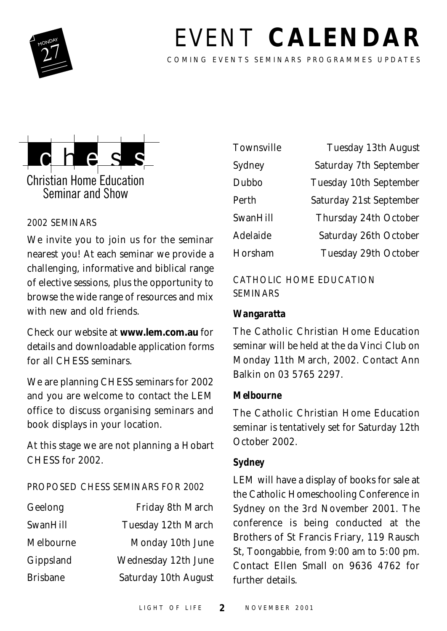

## **EVENT CALENDAR**

COMING EVENTS SEMINARS PROGRAMMES UPDATES



#### 2002 SEMINARS

We invite you to join us for the seminar nearest you! At each seminar we provide a challenging, informative and biblical range of elective sessions, plus the opportunity to browse the wide range of resources and mix with new and old friends.

Check our website at **www.lem.com.au** for details and downloadable application forms for all CHESS seminars.

We are planning CHESS seminars for 2002 and you are welcome to contact the LEM office to discuss organising seminars and book displays in your location.

At this stage we are not planning a Hobart CHESS for 2002.

#### PROPOSED CHESS SEMINARS FOR 2002

| Geelong         | Friday 8th March     |
|-----------------|----------------------|
| SwanHill        | Tuesday 12th March   |
| Melbourne       | Monday 10th June     |
| Gippsland       | Wednesday 12th June  |
| <b>Brisbane</b> | Saturday 10th August |

| Townsville | Tuesday 13th August     |
|------------|-------------------------|
| Sydney     | Saturday 7th September  |
| Dubbo      | Tuesday 10th September  |
| Perth      | Saturday 21st September |
| SwanHill   | Thursday 24th October   |
| Adelaide   | Saturday 26th October   |
| Horsham    | Tuesday 29th October    |

#### CATHOLIC HOME EDUCATION SEMINARS

#### *Wangaratta*

The Catholic Christian Home Education seminar will be held at the da Vinci Club on Monday 11th March, 2002. Contact Ann Balkin on 03 5765 2297.

#### *Melbourne*

The Catholic Christian Home Education seminar is tentatively set for Saturday 12th October 2002.

#### *Sydney*

LEM will have a display of books for sale at the Catholic Homeschooling Conference in Sydney on the 3rd November 2001. The conference is being conducted at the Brothers of St Francis Friary, 119 Rausch St, Toongabbie, from 9:00 am to 5:00 pm. Contact Ellen Small on 9636 4762 for further details.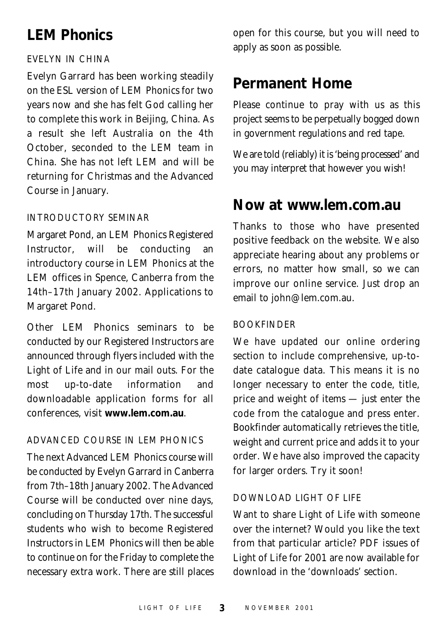#### **LEM Phonics**

#### EVELYN IN CHINA

Evelyn Garrard has been working steadily on the ESL version of LEM Phonics for two years now and she has felt God calling her to complete this work in Beijing, China. As a result she left Australia on the 4th October, seconded to the LEM team in China. She has not left LEM and will be returning for Christmas and the Advanced Course in January.

#### INTRODUCTORY SEMINAR

Margaret Pond, an LEM Phonics Registered Instructor, will be conducting an introductory course in LEM Phonics at the LEM offices in Spence, Canberra from the 14th–17th January 2002. Applications to Margaret Pond.

Other LEM Phonics seminars to be conducted by our Registered Instructors are announced through flyers included with the Light of Life and in our mail outs. For the most up-to-date information and downloadable application forms for all conferences, visit **www.lem.com.au**.

#### ADVANCED COURSE IN LEM PHONICS

The next Advanced LEM Phonics course will be conducted by Evelyn Garrard in Canberra from 7th–18th January 2002. The Advanced Course will be conducted over nine days, concluding on Thursday 17th. The successful students who wish to become Registered Instructors in LEM Phonics will then be able to continue on for the Friday to complete the necessary extra work. There are still places open for this course, but you will need to apply as soon as possible.

#### **Permanent Home**

Please continue to pray with us as this project seems to be perpetually bogged down in government regulations and red tape.

We are told (reliably) it is 'being processed' and you may interpret that however you wish!

#### **Now at www.lem.com.au**

Thanks to those who have presented positive feedback on the website. We also appreciate hearing about any problems or errors, no matter how small, so we can improve our online service. Just drop an email to john@lem.com.au.

#### BOOKFINDER

We have updated our online ordering section to include comprehensive, up-todate catalogue data. This means it is no longer necessary to enter the code, title, price and weight of items — just enter the code from the catalogue and press enter. *Bookfinder* automatically retrieves the title, weight and current price and adds it to your order. We have also improved the capacity for larger orders. Try it soon!

#### DOWNLOAD LIGHT OF LIFE

Want to share Light of Life with someone over the internet? Would you like the text from that particular article? PDF issues of Light of Life for 2001 are now available for download in the 'downloads' section.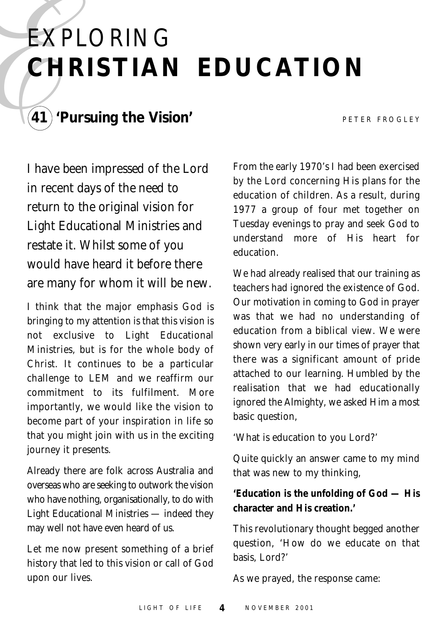# $\begin{array}{c}\n\mathbf{EXI} \\
\mathbf{CH} \\
\hline\n\end{array}$ EXPLORING **CHRISTIAN EDUCATION**



#### **41) 'Pursuing the Vision'** PETER FROGLEY

I have been impressed of the Lord in recent days of the need to return to the original vision for Light Educational Ministries and restate it. Whilst some of you would have heard it before there are many for whom it will be new.

I think that the major emphasis God is bringing to my attention is that this vision is not exclusive to Light Educational Ministries, but is for the whole body of Christ. It continues to be a particular challenge to LEM and we reaffirm our commitment to its fulfilment. More importantly, we would like the vision to become part of your inspiration in life so that you might join with us in the exciting journey it presents.

Already there are folk across Australia and overseas who are seeking to outwork the vision who have nothing, organisationally, to do with Light Educational Ministries — indeed they may well not have even heard of us.

Let me now present something of a brief history that led to this vision or call of God upon our lives.

From the early 1970's I had been exercised by the Lord concerning His plans for the education of children. As a result, during 1977 a group of four met together on Tuesday evenings to pray and seek God to understand more of His heart for education.

We had already realised that our training as teachers had ignored the existence of God. Our motivation in coming to God in prayer was that we had no understanding of education from a biblical view. We were shown very early in our times of prayer that there was a significant amount of pride attached to our learning. Humbled by the realisation that we had educationally ignored the Almighty, we asked Him a most basic question,

'What is education to you Lord?'

Quite quickly an answer came to my mind that was new to my thinking,

#### **'Education is the unfolding of God — His character and His creation.'**

This revolutionary thought begged another question, 'How do we educate on that basis, Lord?'

As we prayed, the response came: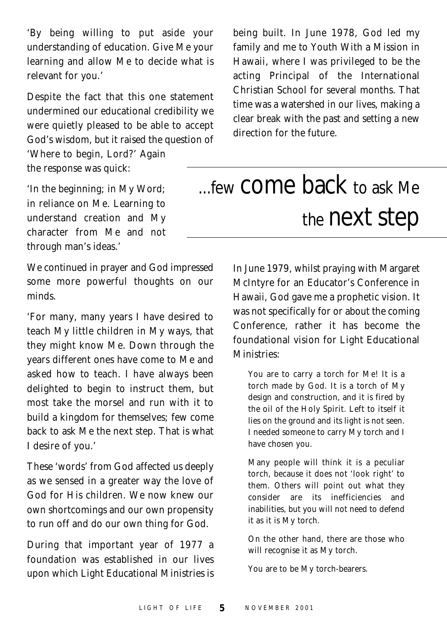'By being willing to put aside your understanding of education. Give Me your learning and allow Me to decide what is relevant for you.'

Despite the fact that this one statement undermined our educational credibility we were quietly pleased to be able to accept God's wisdom, but it raised the question of 'Where to begin, Lord?' Again the response was quick:

'In the beginning; in My Word; in reliance on Me. Learning to understand creation and My character from Me and not through man's ideas.'

We continued in prayer and God impressed some more powerful thoughts on our minds.

'For many, many years I have desired to teach My little children in My ways, that they might know Me. Down through the years different ones have come to Me and asked how to teach. I have always been delighted to begin to instruct them, but most take the morsel and run with it to build a kingdom for themselves; few come back to ask Me the next step. That is what I desire of you.'

These 'words' from God affected us deeply as we sensed in a greater way the love of God for His children. We now knew our own shortcomings and our own propensity to run off and do our own thing for God.

During that important year of 1977 a foundation was established in our lives upon which Light Educational Ministries is

being built. In June 1978, God led my family and me to Youth With a Mission in Hawaii, where I was privileged to be the acting Principal of the International Christian School for several months. That time was a watershed in our lives, making a clear break with the past and setting a new direction for the future.

## ...few come back to ask Me the next step

In June 1979, whilst praying with Margaret McIntyre for an Educator's Conference in Hawaii, God gave me a prophetic vision. It was not specifically for or about the coming Conference, rather it has become the foundational vision for Light Educational Ministries:

You are to carry a torch for Me! It is a torch made by God. It is a torch of My design and construction, and it is fired by the oil of the Holy Spirit. Left to itself it lies on the ground and its light is not seen. I needed someone to carry My torch and I have chosen you.

Many people will think it is a peculiar torch, because it does not 'look right' to them. Others will point out what they consider are its inefficiencies and inabilities, but you will not need to defend it as it is My torch.

On the other hand, there are those who will recognise it as My torch.

You are to be My torch-bearers.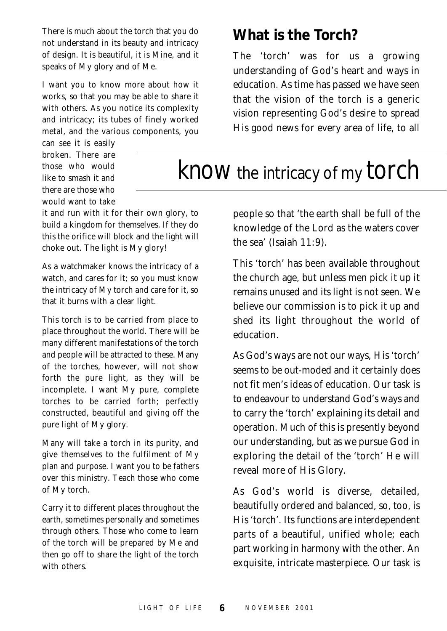There is much about the torch that you do not understand in its beauty and intricacy of design. It is beautiful, it is Mine, and it speaks of My glory and of Me.

I want you to know more about how it works, so that you may be able to share it with others. As you notice its complexity and intricacy; its tubes of finely worked metal, and the various components, you

can see it is easily broken. There are those who would like to smash it and there are those who would want to take

it and run with it for their own glory, to build a kingdom for themselves. If they do this the orifice will block and the light will choke out. The light is My glory!

As a watchmaker knows the intricacy of a watch, and cares for it; so you must know the intricacy of My torch and care for it, so that it burns with a clear light.

This torch is to be carried from place to place throughout the world. There will be many different manifestations of the torch and people will be attracted to these. Many of the torches, however, will not show forth the pure light, as they will be incomplete. I want My pure, complete torches to be carried forth; perfectly constructed, beautiful and giving off the pure light of My glory.

Many will take a torch in its purity, and give themselves to the fulfilment of My plan and purpose. I want you to be fathers over this ministry. Teach those who come of My torch.

Carry it to different places throughout the earth, sometimes personally and sometimes through others. Those who come to learn of the torch will be prepared by Me and then go off to share the light of the torch with others.

#### **What is the Torch?**

The 'torch' was for us a growing understanding of God's heart and ways in education. As time has passed we have seen that the vision of the torch is a generic vision representing God's desire to spread His good news for every area of life, to all

### know the intricacy of my torch

people so that 'the earth shall be full of the knowledge of the Lord as the waters cover the sea' (Isaiah 11:9).

This 'torch' has been available throughout the church age, but unless men pick it up it remains unused and its light is not seen. We believe our commission is to pick it up and shed its light throughout the world of education.

As God's ways are not our ways, His 'torch' seems to be out-moded and it certainly does not fit men's ideas of education. Our task is to endeavour to understand God's ways and to carry the 'torch' explaining its detail and operation. Much of this is presently beyond our understanding, but as we pursue God in exploring the detail of the 'torch' He will reveal more of His Glory.

As God's world is diverse, detailed, beautifully ordered and balanced, so, too, is His 'torch'. Its functions are interdependent parts of a beautiful, unified whole; each part working in harmony with the other. An exquisite, intricate masterpiece. Our task is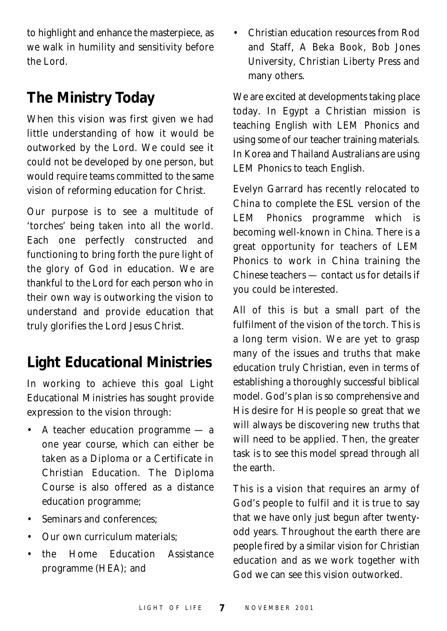to highlight and enhance the masterpiece, as we walk in humility and sensitivity before the Lord.

#### **The Ministry Today**

When this vision was first given we had little understanding of how it would be outworked by the Lord. We could see it could not be developed by one person, but would require teams committed to the same vision of reforming education for Christ.

Our purpose is to see a multitude of 'torches' being taken into all the world. Each one perfectly constructed and functioning to bring forth the pure light of the glory of God in education. We are thankful to the Lord for each person who in their own way is outworking the vision to understand and provide education that truly glorifies the Lord Jesus Christ.

#### **Light Educational Ministries**

In working to achieve this goal Light Educational Ministries has sought provide expression to the vision through:

- A teacher education programme a one year course, which can either be taken as a Diploma or a Certificate in Christian Education. The Diploma Course is also offered as a distance education programme;
- Seminars and conferences:
- Our own curriculum materials;
- the Home Education Assistance programme (HEA); and

• Christian education resources from Rod and Staff, A Beka Book, Bob Jones University, Christian Liberty Press and many others.

We are excited at developments taking place today. In Egypt a Christian mission is teaching English with LEM Phonics and using some of our teacher training materials. In Korea and Thailand Australians are using LEM Phonics to teach English.

Evelyn Garrard has recently relocated to China to complete the ESL version of the LEM Phonics programme which is becoming well-known in China. There is a great opportunity for teachers of LEM Phonics to work in China training the Chinese teachers — contact us for details if you could be interested.

All of this is but a small part of the fulfilment of the vision of the torch. This is a long term vision. We are yet to grasp many of the issues and truths that make education truly Christian, even in terms of establishing a thoroughly successful biblical model. God's plan is so comprehensive and His desire for His people so great that we will always be discovering new truths that will need to be applied. Then, the greater task is to see this model spread through all the earth.

This is a vision that requires an army of God's people to fulfil and it is true to say that we have only just begun after twentyodd years. Throughout the earth there are people fired by a similar vision for Christian education and as we work together with God we can see this vision outworked.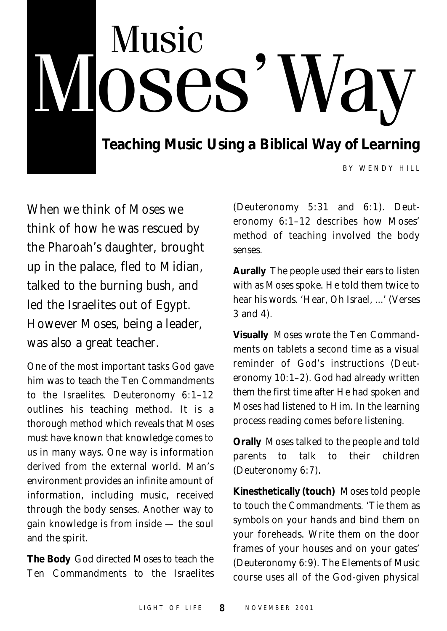## Music **JOSES** ay **Teaching Music Using a Biblical Way of Learning**

BY WENDY HILL

When we think of Moses we think of how he was rescued by the Pharoah's daughter, brought up in the palace, fled to Midian, talked to the burning bush, and led the Israelites out of Egypt. However Moses, being a leader, was also a great teacher.

One of the most important tasks God gave him was to teach the Ten Commandments to the Israelites. Deuteronomy 6:1–12 outlines his teaching method. It is a thorough method which reveals that Moses must have known that knowledge comes to us in many ways. One way is information derived from the external world. Man's environment provides an infinite amount of information, including music, received through the body senses. Another way to gain knowledge is from inside — the soul and the spirit.

**The Body** God directed Moses to teach the Ten Commandments to the Israelites

(Deuteronomy 5:31 and 6:1). Deuteronomy 6:1–12 describes how Moses' method of teaching involved the body senses.

**Aurally** The people used their ears to listen with as Moses spoke. He told them twice to hear his words. 'Hear, Oh Israel, ...' (Verses 3 and 4).

**Visually** Moses wrote the Ten Commandments on tablets a second time as a visual reminder of God's instructions (Deuteronomy 10:1–2). God had already written them the first time after He had spoken and Moses had listened to Him. In the learning process reading comes before listening.

**Orally** Moses talked to the people and told parents to talk to their children (Deuteronomy 6:7).

**Kinesthetically (touch)** Moses told people to touch the Commandments. 'Tie them as symbols on your hands and bind them on your foreheads. Write them on the door frames of your houses and on your gates' (Deuteronomy 6:9). The *Elements of Music* course uses all of the God-given physical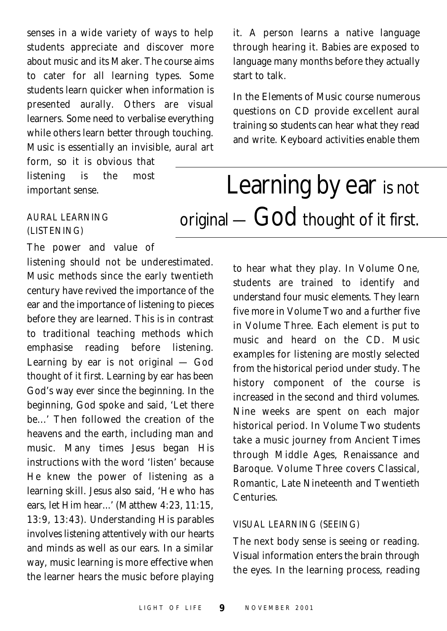senses in a wide variety of ways to help students appreciate and discover more about music and its Maker. The course aims to cater for all learning types. Some students learn quicker when information is presented aurally. Others are visual learners. Some need to verbalise everything while others learn better through touching. Music is essentially an invisible, aural art

form, so it is obvious that listening is the most important sense.

#### AURAL LEARNING (LISTENING)

The power and value of

listening should not be underestimated. Music methods since the early twentieth century have revived the importance of the ear and the importance of listening to pieces before they are learned. This is in contrast to traditional teaching methods which emphasise reading before listening. Learning by ear is not original — God thought of it first. Learning by ear has been God's way ever since the beginning. In the beginning, God spoke and said, 'Let there be...' Then followed the creation of the heavens and the earth, including man and music. Many times Jesus began His instructions with the word 'listen' because He knew the power of listening as a learning skill. Jesus also said, 'He who has ears, let Him hear...' (Matthew 4:23, 11:15, 13:9, 13:43). Understanding His parables involves listening attentively with our hearts and minds as well as our ears. In a similar way, music learning is more effective when the learner hears the music before playing

it. A person learns a native language through hearing it. Babies are exposed to language many months before they actually start to talk.

In the *Elements of Music* course numerous questions on CD provide excellent aural training so students can hear what they read and write. Keyboard activities enable them

### Learning by ear is not original - God thought of it first.

to hear what they play. In Volume One, students are trained to identify and understand four music elements. They learn five more in Volume Two and a further five in Volume Three. Each element is put to music and heard on the CD. Music examples for listening are mostly selected from the historical period under study. The history component of the course is increased in the second and third volumes. Nine weeks are spent on each major historical period. In Volume Two students take a music journey from Ancient Times through Middle Ages, Renaissance and Baroque. Volume Three covers Classical, Romantic, Late Nineteenth and Twentieth Centuries.

#### VISUAL LEARNING (SEEING)

The next body sense is seeing or reading. Visual information enters the brain through the eyes. In the learning process, reading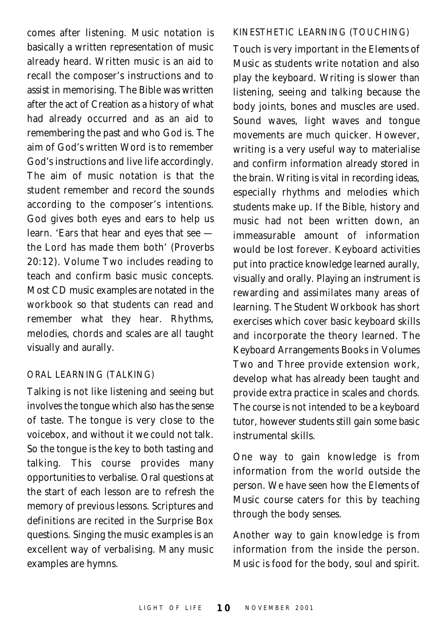comes after listening. Music notation is basically a written representation of music already heard. Written music is an aid to recall the composer's instructions and to assist in memorising. The Bible was written after the act of Creation as a history of what had already occurred and as an aid to remembering the past and who God is. The aim of God's written Word is to remember God's instructions and live life accordingly. The aim of music notation is that the student remember and record the sounds according to the composer's intentions. God gives both eyes and ears to help us learn. 'Ears that hear and eyes that see the Lord has made them both' (Proverbs 20:12). Volume Two includes reading to teach and confirm basic music concepts. Most CD music examples are notated in the workbook so that students can read and remember what they hear. Rhythms, melodies, chords and scales are all taught visually and aurally.

#### ORAL LEARNING (TALKING)

Talking is not like listening and seeing but involves the tongue which also has the sense of taste. The tongue is very close to the voicebox, and without it we could not talk. So the tongue is the key to both tasting and talking. This course provides many opportunities to verbalise. Oral questions at the start of each lesson are to refresh the memory of previous lessons. Scriptures and definitions are recited in the Surprise Box questions. Singing the music examples is an excellent way of verbalising. Many music examples are hymns.

#### KINESTHETIC LEARNING (TOUCHING)

Touch is very important in the *Elements of Music* as students write notation and also play the keyboard. Writing is slower than listening, seeing and talking because the body joints, bones and muscles are used. Sound waves, light waves and tongue movements are much quicker. However, writing is a very useful way to materialise and confirm information already stored in the brain. Writing is vital in recording ideas, especially rhythms and melodies which students make up. If the Bible, history and music had not been written down, an immeasurable amount of information would be lost forever. Keyboard activities put into practice knowledge learned aurally, visually and orally. Playing an instrument is rewarding and assimilates many areas of learning. The Student Workbook has short exercises which cover basic keyboard skills and incorporate the theory learned. The Keyboard Arrangements Books in Volumes Two and Three provide extension work, develop what has already been taught and provide extra practice in scales and chords. The course is not intended to be a keyboard tutor, however students still gain some basic instrumental skills.

One way to gain knowledge is from information from the world outside the person. We have seen how the *Elements of Music* course caters for this by teaching through the body senses.

Another way to gain knowledge is from information from the inside the person. Music is food for the body, soul and spirit.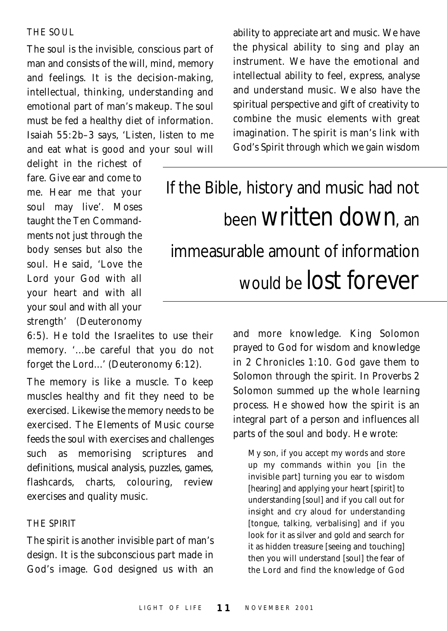THE SOUL

The soul is the invisible, conscious part of man and consists of the will, mind, memory and feelings. It is the decision-making, intellectual, thinking, understanding and emotional part of man's makeup. The soul must be fed a healthy diet of information. Isaiah 55:2b–3 says, 'Listen, listen to me and eat what is good and your soul will

delight in the richest of fare. Give ear and come to me. Hear me that your soul may live'. Moses taught the Ten Commandments not just through the body senses but also the soul. He said, 'Love the Lord your God with all your heart and with all your soul and with all your strength' (Deuteronomy

6:5). He told the Israelites to use their memory. '...be careful that you do not forget the Lord...' (Deuteronomy 6:12).

The memory is like a muscle. To keep muscles healthy and fit they need to be exercised. Likewise the memory needs to be exercised. The *Elements of Music* course feeds the soul with exercises and challenges such as memorising scriptures and definitions, musical analysis, puzzles, games, flashcards, charts, colouring, review exercises and quality music.

#### THE SPIRIT

The spirit is another invisible part of man's design. It is the subconscious part made in God's image. God designed us with an ability to appreciate art and music. We have the physical ability to sing and play an instrument. We have the emotional and intellectual ability to feel, express, analyse and understand music. We also have the spiritual perspective and gift of creativity to combine the music elements with great imagination. The spirit is man's link with God's Spirit through which we gain wisdom

## If the Bible, history and music had not been written down, an immeasurable amount of information would be **lOSt** for ever

and more knowledge. King Solomon prayed to God for wisdom and knowledge in 2 Chronicles 1:10. God gave them to Solomon through the spirit. In Proverbs 2 Solomon summed up the whole learning process. He showed how the spirit is an integral part of a person and influences all parts of the soul and body. He wrote:

My son, if you accept my words and store up my commands within you [in the invisible part] turning you ear to wisdom [hearing] and applying your heart [spirit] to understanding [soul] and if you call out for insight and cry aloud for understanding [tongue, talking, verbalising] and if you look for it as silver and gold and search for it as hidden treasure [seeing and touching] then you will understand [soul] the fear of the Lord and find the knowledge of God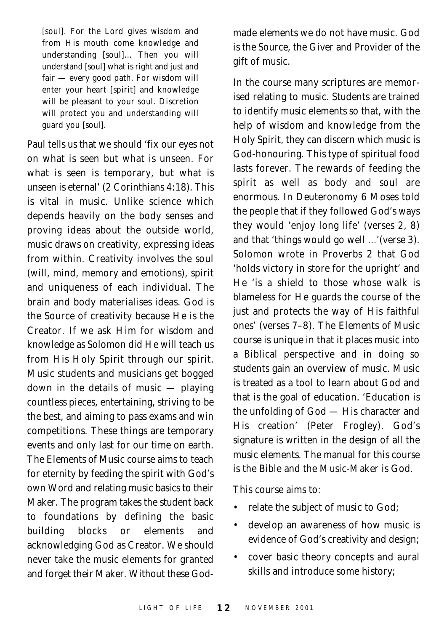[soul]. For the Lord gives wisdom and from His mouth come knowledge and understanding [soul]... Then you will understand [soul] what is right and just and fair — every good path. For wisdom will enter your heart [spirit] and knowledge will be pleasant to your soul. Discretion will protect you and understanding will guard you [soul].

Paul tells us that we should 'fix our eyes not on what is seen but what is unseen. For what is seen is temporary, but what is unseen is eternal' (2 Corinthians 4:18). This is vital in music. Unlike science which depends heavily on the body senses and proving ideas about the outside world, music draws on creativity, expressing ideas from within. Creativity involves the soul (will, mind, memory and emotions), spirit and uniqueness of each individual. The brain and body materialises ideas. God is the Source of creativity because He is the Creator. If we ask Him for wisdom and knowledge as Solomon did He will teach us from His Holy Spirit through our spirit. Music students and musicians get bogged down in the details of music — playing countless pieces, entertaining, striving to be the best, and aiming to pass exams and win competitions. These things are temporary events and only last for our time on earth. The *Elements of Music* course aims to teach for eternity by feeding the spirit with God's own Word and relating music basics to their Maker. The program takes the student back to foundations by defining the basic building blocks or elements and acknowledging God as Creator. We should never take the music elements for granted and forget their Maker. Without these Godmade elements we do not have music. God is the Source, the Giver and Provider of the gift of music.

In the course many scriptures are memorised relating to music. Students are trained to identify music elements so that, with the help of wisdom and knowledge from the Holy Spirit, they can discern which music is God-honouring. This type of spiritual food lasts forever. The rewards of feeding the spirit as well as body and soul are enormous. In Deuteronomy 6 Moses told the people that if they followed God's ways they would 'enjoy long life' (verses 2, 8) and that 'things would go well ...'(verse 3). Solomon wrote in Proverbs 2 that God 'holds victory in store for the upright' and He 'is a shield to those whose walk is blameless for He guards the course of the just and protects the way of His faithful ones' (verses 7–8). The *Elements of Music* course is unique in that it places music into a Biblical perspective and in doing so students gain an overview of music. Music is treated as a tool to learn about God and that is the goal of education. 'Education is the unfolding of God — His character and His creation' (Peter Frogley). God's signature is written in the design of all the music elements. The manual for this course is the Bible and the Music-Maker is God.

This course aims to:

- relate the subject of music to God;
- develop an awareness of how music is evidence of God's creativity and design;
- cover basic theory concepts and aural skills and introduce some history;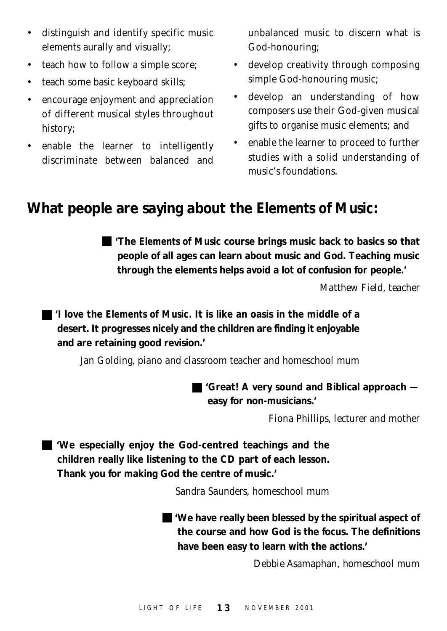- distinguish and identify specific music elements aurally and visually;
- teach how to follow a simple score;
- teach some basic keyboard skills;
- encourage enjoyment and appreciation of different musical styles throughout history;
- enable the learner to intelligently discriminate between balanced and

unbalanced music to discern what is God-honouring;

- develop creativity through composing simple God-honouring music;
- develop an understanding of how composers use their God-given musical gifts to organise music elements; and
- enable the learner to proceed to further studies with a solid understanding of music's foundations.

#### **What people are saying about the** *Elements of Music***:**

**'The** *Elements of Music* **course brings music back to basics so that people of all ages can learn about music and God. Teaching music through the elements helps avoid a lot of confusion for people.'**

*Matthew Field, teacher*

**'I love the** *Elements of Music***. It is like an oasis in the middle of a desert. It progresses nicely and the children are finding it enjoyable and are retaining good revision.'**

*Jan Golding, piano and classroom teacher and homeschool mum*

**'Great! A very sound and Biblical approach easy for non-musicians.'**

*Fiona Phillips, lecturer and mother*

**'We especially enjoy the God-centred teachings and the children really like listening to the CD part of each lesson. Thank you for making God the centre of music.'**

*Sandra Saunders, homeschool mum*

**'We have really been blessed by the spiritual aspect of the course and how God is the focus. The definitions have been easy to learn with the actions.'**

*Debbie Asamaphan, homeschool mum*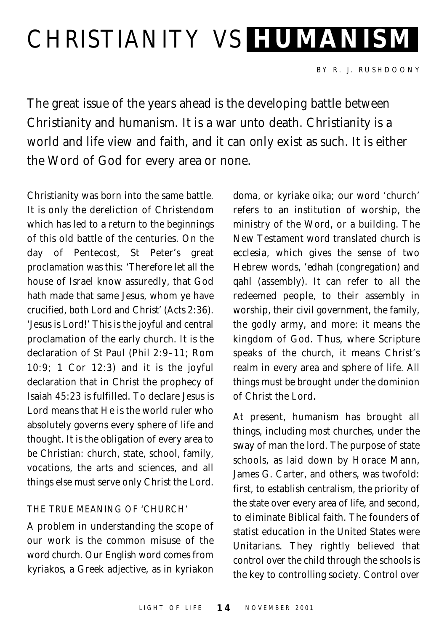## CHRISTIANITY VS **HUMANISM**

The great issue of the years ahead is the developing battle between Christianity and humanism. It is a war unto death. Christianity is a world and life view and faith, and it can only exist as such. It is either the Word of God for every area or none.

Christianity was born into the same battle. It is only the dereliction of Christendom which has led to a return to the beginnings of this old battle of the centuries. On the day of Pentecost, St Peter's great proclamation was this: 'Therefore let all the house of Israel know assuredly, that God hath made that same Jesus, whom ye have crucified, both Lord and Christ' (Acts 2:36). 'Jesus is Lord!' This is the joyful and central proclamation of the early church. It is the declaration of St Paul (Phil 2:9–11; Rom 10:9; 1 Cor 12:3) and it is the joyful declaration that in Christ the prophecy of Isaiah 45:23 is fulfilled. To declare Jesus is Lord means that He is the world ruler who absolutely governs every sphere of life and thought. It is the obligation of every area to be Christian: church, state, school, family, vocations, the arts and sciences, and all things else must serve only Christ the Lord.

#### THE TRUE MEANING OF 'CHURCH'

A problem in understanding the scope of our work is the common misuse of the word *church*. Our English word comes from *kyriakos*, a Greek adjective, as in *kyriakon*

*doma*, or *kyriake oika*; our word 'church' refers to an institution of worship, the ministry of the Word, or a building. The New Testament word translated *church* is *ecclesia*, which gives the sense of two Hebrew words, *'edhah* (congregation) and *qahl* (assembly). It can refer to all the redeemed people, to their assembly in worship, their civil government, the family, the godly army, and more: it means the kingdom of God. Thus, where Scripture speaks of the *church*, it means Christ's realm in every area and sphere of life. All things must be brought under the dominion of Christ the Lord.

At present, humanism has brought all things, including most churches, under the sway of man the lord. The purpose of state schools, as laid down by Horace Mann, James G. Carter, and others, was twofold: first, to establish centralism, the priority of the state over every area of life, and second, to eliminate Biblical faith. The founders of statist education in the United States were Unitarians. They rightly believed that control over the child through the schools is the key to controlling society. Control over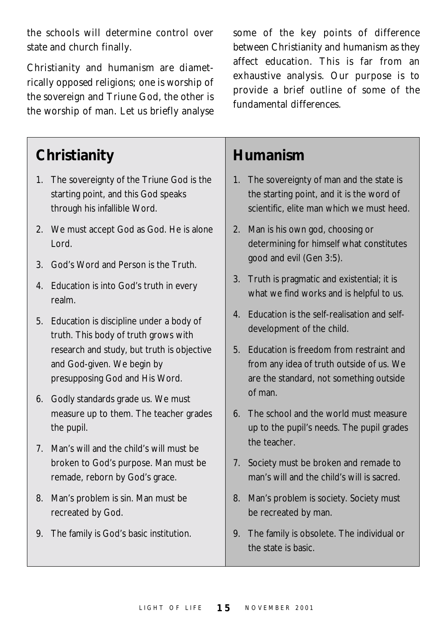the schools will determine control over state and church finally.

Christianity and humanism are diametrically opposed religions; one is worship of the sovereign and Triune God, the other is the worship of man. Let us briefly analyse

**Christianity**

- 1. The sovereignty of the Triune God is the starting point, and this God speaks through his infallible Word.
- 2. We must accept God as God. He is alone Lord.
- 3. God's Word and Person is the Truth.
- 4. Education is into God's truth in every realm.
- 5. Education is discipline under a body of truth. This body of truth grows with research and study, but truth is objective and God-given. We begin by presupposing God and His Word.
- 6. Godly standards grade us. We must measure up to them. The teacher grades the pupil.
- 7. Man's will and the child's will must be broken to God's purpose. Man must be remade, reborn by God's grace.
- 8. Man's problem is sin. Man must be recreated by God.
- 9. The family is God's basic institution.

some of the key points of difference between Christianity and humanism as they affect education. This is far from an exhaustive analysis. Our purpose is to provide a brief outline of some of the fundamental differences.

#### **Humanism**

- 1. The sovereignty of man and the state is the starting point, and it is the word of scientific, elite man which we must heed.
- 2. Man is his own god, choosing or determining for himself what constitutes good and evil (Gen 3:5).
- 3. Truth is pragmatic and existential; it is what we find works and is helpful to us.
- 4. Education is the self-realisation and selfdevelopment of the child.
- 5. Education is freedom from restraint and from any idea of truth outside of us. We are the standard, not something outside of man.
- 6. The school and the world must measure up to the pupil's needs. The pupil grades the teacher.
- 7. Society must be broken and remade to man's will and the child's will is sacred.
- 8. Man's problem is society. Society must be recreated by man.
- 9. The family is obsolete. The individual or the state is basic.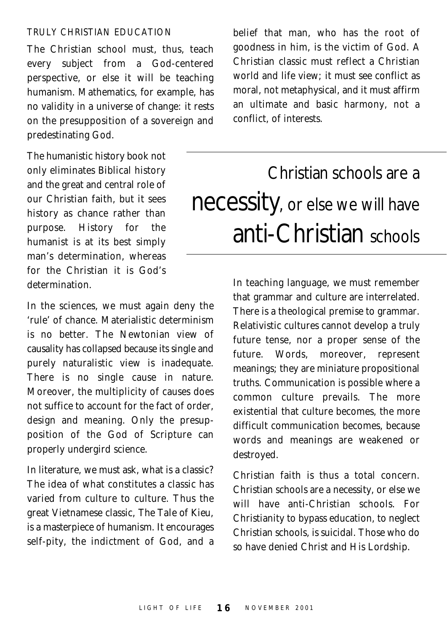#### TRULY CHRISTIAN EDUCATION

The Christian school must, thus, teach every subject from a God-centered perspective, or else it will be teaching humanism. Mathematics, for example, has no validity in a universe of change: it rests on the presupposition of a sovereign and predestinating God.

The humanistic history book not only eliminates Biblical history and the great and central role of our Christian faith, but it sees history as chance rather than purpose. History for the humanist is at its best simply man's determination, whereas for the Christian it is God's determination.

In the sciences, we must again deny the 'rule' of chance. Materialistic determinism is no better. The Newtonian view of causality has collapsed because its single and purely naturalistic view is inadequate. There is no single cause in nature. Moreover, the multiplicity of causes does not suffice to account for the fact of order, design and meaning. Only the presupposition of the God of Scripture can properly undergird science.

In literature, we must ask, what is a classic? The idea of what constitutes a classic has varied from culture to culture. Thus the great Vietnamese classic, *The Tale of Kieu*, is a masterpiece of humanism. It encourages self-pity, the indictment of God, and a

belief that man, who has the root of goodness in him, is the victim of God. A Christian classic must reflect a Christian world and life view; it must see conflict as moral, not metaphysical, and it must affirm an ultimate and basic harmony, not a conflict, of interests.

### Christian schools are a necessity, or else we will have anti-Christian schools

In teaching language, we must remember that grammar and culture are interrelated. There is a theological premise to grammar. Relativistic cultures cannot develop a truly future tense, nor a proper sense of the future. Words, moreover, represent meanings; they are miniature propositional truths. Communication is possible where a common culture prevails. The more existential that culture becomes, the more difficult communication becomes, because words and meanings are weakened or destroyed.

Christian faith is thus a total concern. Christian schools are a necessity, or else we will have anti-Christian schools. For Christianity to bypass education, to neglect Christian schools, is suicidal. Those who do so have denied Christ and His Lordship.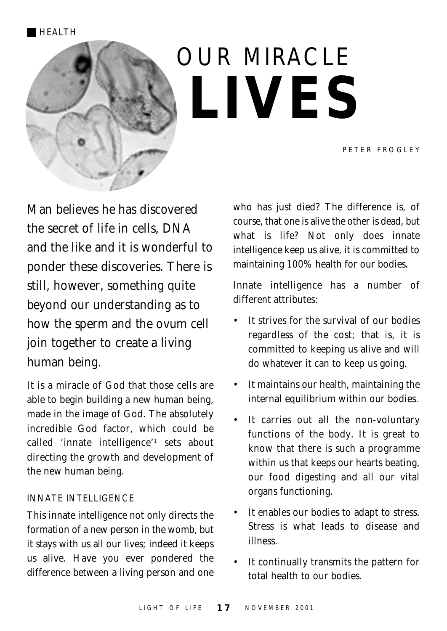## OUR MIRACLE **LIVES**

Man believes he has discovered the secret of life in cells, DNA and the like and it is wonderful to ponder these discoveries. There is still, however, something quite beyond our understanding as to how the sperm and the ovum cell join together to create a living human being.

It is a miracle of God that those cells are able to begin building a new human being, made in the image of God. The absolutely incredible God factor, which could be called 'innate intelligence'1 sets about directing the growth and development of the new human being.

#### INNATE INTELLIGENCE

This innate intelligence not only directs the formation of a new person in the womb, but it stays with us all our lives; indeed it keeps us alive. Have you ever pondered the difference between a living person and one who has just died? The difference is, of course, that one is alive the other is dead, but what is life? Not only does innate intelligence keep us alive, it is committed to maintaining 100% health for our bodies.

Innate intelligence has a number of different attributes:

- It strives for the survival of our bodies regardless of the cost; that is, it is committed to keeping us alive and will do whatever it can to keep us going.
- It maintains our health, maintaining the internal equilibrium within our bodies.
- It carries out all the non-voluntary functions of the body. It is great to know that there is such a programme within us that keeps our hearts beating, our food digesting and all our vital organs functioning.
- It enables our bodies to adapt to stress. Stress is what leads to disease and illness.
- It continually transmits the pattern for total health to our bodies.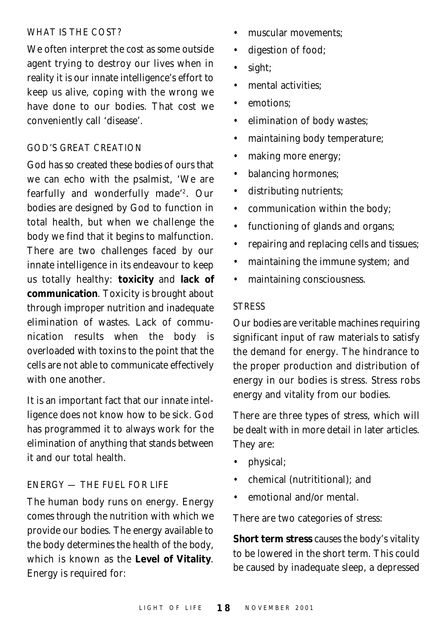#### WHAT IS THE COST?

We often interpret the cost as some outside agent trying to destroy our lives when in reality it is our innate intelligence's effort to keep us alive, coping with the wrong we have done to our bodies. That cost we conveniently call 'disease'.

#### GOD'S GREAT CREATION

God has so created these bodies of ours that we can echo with the psalmist, 'We are fearfully and wonderfully made'2. Our bodies are designed by God to function in total health, but when we challenge the body we find that it begins to malfunction. There are two challenges faced by our innate intelligence in its endeavour to keep us totally healthy: **toxicity** and **lack of communication**. Toxicity is brought about through improper nutrition and inadequate elimination of wastes. Lack of communication results when the body is overloaded with toxins to the point that the cells are not able to communicate effectively with one another.

It is an important fact that our innate intelligence does not know how to be sick. God has programmed it to always work for the elimination of anything that stands between it and our total health.

#### ENERGY — THE FUEL FOR LIFE

The human body runs on energy. Energy comes through the nutrition with which we provide our bodies. The energy available to the body determines the health of the body, which is known as the **Level of Vitality**. Energy is required for:

- muscular movements:
- digestion of food;
- sight;
- mental activities:
- emotions;
- elimination of body wastes;
- maintaining body temperature;
- making more energy;
- balancing hormones;
- distributing nutrients;
- communication within the body;
- functioning of glands and organs;
- repairing and replacing cells and tissues;
- maintaining the immune system; and
- maintaining consciousness.

#### **STRESS**

Our bodies are veritable machines requiring significant input of raw materials to satisfy the demand for energy. The hindrance to the proper production and distribution of energy in our bodies is stress. Stress robs energy and vitality from our bodies.

There are three types of stress, which will be dealt with in more detail in later articles. They are:

- physical;
- chemical (nutrititional); and
- emotional and/or mental.

There are two categories of stress:

**Short term stress** causes the body's vitality to be lowered in the short term. This could be caused by inadequate sleep, a depressed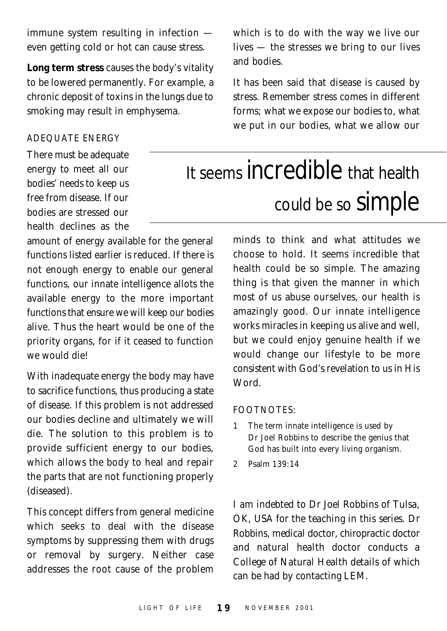immune system resulting in infection even getting cold or hot can cause stress.

**Long term stress** causes the body's vitality to be lowered permanently. For example, a chronic deposit of toxins in the lungs due to smoking may result in emphysema.

#### ADEQUATE ENERGY

There must be adequate energy to meet all our bodies' needs to keep us free from disease. If our bodies are stressed our health declines as the

amount of energy available for the general functions listed earlier is reduced. If there is not enough energy to enable our general functions, our innate intelligence allots the available energy to the more important functions that ensure we will keep our bodies alive. Thus the heart would be one of the priority organs, for if it ceased to function we would die!

With inadequate energy the body may have to sacrifice functions, thus producing a state of disease. If this problem is not addressed our bodies decline and ultimately we will die. The solution to this problem is to provide sufficient energy to our bodies, which allows the body to heal and repair the parts that are not functioning properly (diseased).

This concept differs from general medicine which seeks to deal with the disease symptoms by suppressing them with drugs or removal by surgery. Neither case addresses the root cause of the problem which is to do with the way we live our lives — the stresses we bring to our lives and bodies.

It has been said that disease is caused by stress. Remember stress comes in different forms; what we expose our bodies to, what we put in our bodies, what we allow our

## It seems incredible that health could be so simple

minds to think and what attitudes we choose to hold. It seems incredible that health could be so simple. The amazing thing is that given the manner in which most of us abuse ourselves, our health is amazingly good. Our innate intelligence works miracles in keeping us alive and well, but we could enjoy genuine health if we would change our lifestyle to be more consistent with God's revelation to us in His Word.

#### FOOTNOTES:

- 1 The term innate intelligence is used by Dr Joel Robbins to describe the genius that God has built into every living organism.
- 2 Psalm 139:14

*I am indebted to Dr Joel Robbins of Tulsa, OK, USA for the teaching in this series. Dr Robbins, medical doctor, chiropractic doctor and natural health doctor conducts a College of Natural Health details of which can be had by contacting LEM.*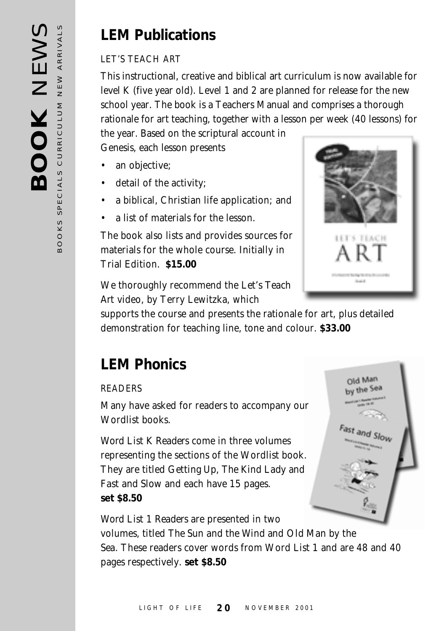#### **LEM Publications**

#### LET'S TEACH ART

This instructional, creative and biblical art curriculum is now available for level K (five year old). Level 1 and 2 are planned for release for the new school year. The book is a Teachers Manual and comprises a thorough rationale for art teaching, together with a lesson per week (40 lessons) for

the year. Based on the scriptural account in Genesis, each lesson presents

- an objective:
- detail of the activity;
- a biblical, Christian life application; and
- a list of materials for the lesson.

The book also lists and provides sources for materials for the whole course. Initially in Trial Edition. **\$15.00**



We thoroughly recommend the *Let's Teach Art* video, by Terry Lewitzka, which

supports the course and presents the rationale for art, plus detailed demonstration for teaching line, tone and colour. **\$33.00**

#### **LEM Phonics**

#### READERS

Many have asked for readers to accompany our Wordlist books.

*Word List K Readers* come in three volumes representing the sections of the Wordlist book. They are titled *Getting Up*, *The Kind Lady* and *Fast and Slow* and each have 15 pages. **set \$8.50**



*Word List 1 Readers* are presented in two volumes, titled *The Sun and the Wind* and *Old Man by the Sea*. These readers cover words from Word List 1 and are 48 and 40 pages respectively. **set \$8.50**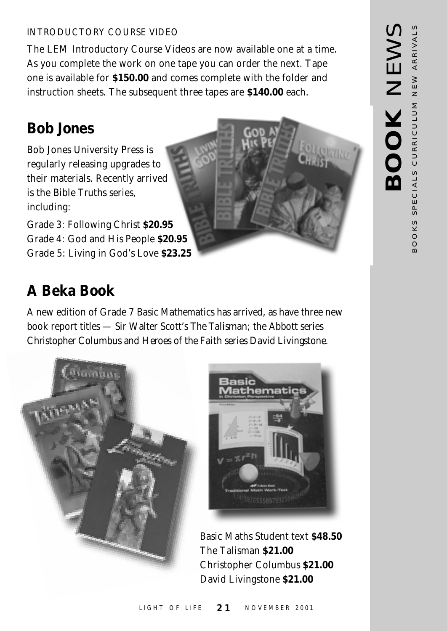#### INTRODUCTORY COURSE VIDEO

The LEM Introductory Course Videos are now available one at a time. As you complete the work on one tape you can order the next. Tape one is available for **\$150.00** and comes complete with the folder and instruction sheets. The subsequent three tapes are **\$140.00** each.

#### **Bob Jones**

Bob Jones University Press is regularly releasing upgrades to their materials. Recently arrived is the *Bible Truths* series, including:

Grade 3: Following Christ **\$20.95** Grade 4: God and His People **\$20.95** Grade 5: Living in God's Love **\$23.25**

#### **A Beka Book**

A new edition of Grade 7 *Basic Mathematics* has arrived, as have three new book report titles — Sir Walter Scott's *The Talisman*; the Abbott series *Christopher Columbus* and *Heroes of the Faith* series *David Livingstone*.





Basic Maths Student text **\$48.50** The Talisman **\$21.00** Christopher Columbus **\$21.00** David Livingstone **\$21.00**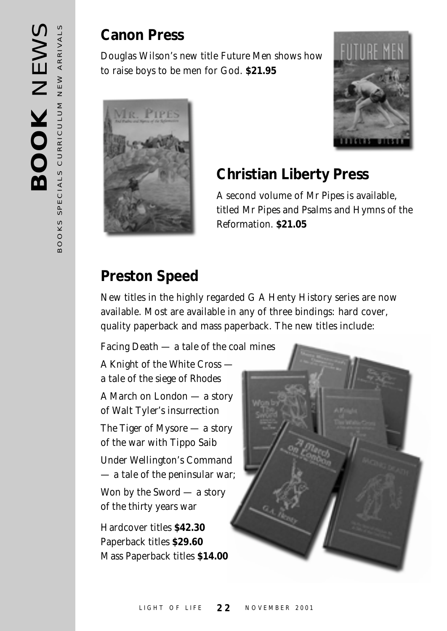#### **Canon Press**

Douglas Wilson's new title *Future Men* shows how to raise boys to be men for God. **\$21.95**





#### **Christian Liberty Press**

A second volume of *Mr Pipes* is available, titled *Mr Pipes and Psalms and Hymns of the Reformation*. **\$21.05**

#### **Preston Speed**

New titles in the highly regarded G A Henty History series are now available. Most are available in any of three bindings: hard cover, quality paperback and mass paperback. The new titles include:

*Facing Death — a tale of the coal mines*

*A Knight of the White Cross a tale of the siege of Rhodes A March on London — a story*

*of Walt Tyler's insurrection*

*The Tiger of Mysore — a story of the war with Tippo Saib*

*Under Wellington's Command — a tale of the peninsular war;*

*Won by the Sword — a story of the thirty years war*

Hardcover titles **\$42.30** Paperback titles **\$29.60** Mass Paperback titles **\$14.00**

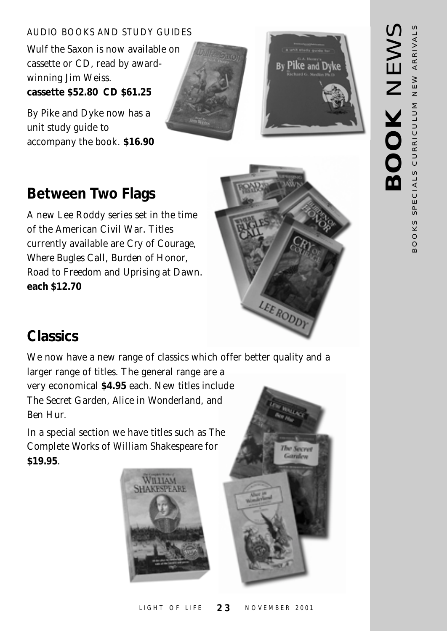#### AUDIO BOOKS AND STUDY GUIDES

*Wulf the Saxon* is now available on cassette or CD, read by awardwinning Jim Weiss. **cassette \$52.80 CD \$61.25**

*By Pike and Dyke* now has a unit study guide to accompany the book. **\$16.90**





#### **Between Two Flags**

A new Lee Roddy series set in the time of the American Civil War. Titles currently available are *Cry of Courage*, *Where Bugles Call*, *Burden of Honor*, *Road to Freedom* and *Uprising at Dawn*. **each \$12.70**



#### **Classics**

We now have a new range of classics which offer better quality and a larger range of titles. The general range are a very economical **\$4.95** each. New titles include *The Secret Garden*, *Alice in Wonderland*, and *Ben Hur*.

In a special section we have titles such as *The Complete Works of William Shakespeare* for **\$19.95**.





# NEWARD **BOOK** NEWS BOOKS SPECIALS CURRICULUM NEW ARRIVALS BOOKS SPECIALS CURRICULUM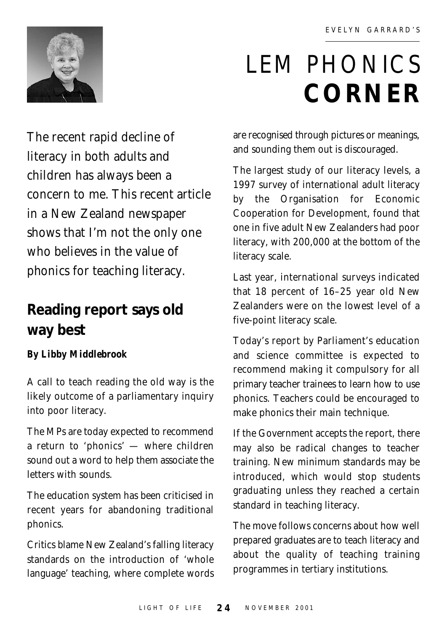

## LEM PHONICS **CORNER**

The recent rapid decline of literacy in both adults and children has always been a concern to me. This recent article in a New Zealand newspaper shows that I'm not the only one who believes in the value of phonics for teaching literacy.

#### **Reading report says old way best**

#### *By Libby Middlebrook*

A call to teach reading the old way is the likely outcome of a parliamentary inquiry into poor literacy.

The MPs are today expected to recommend a return to 'phonics' — where children sound out a word to help them associate the letters with sounds.

The education system has been criticised in recent years for abandoning traditional phonics.

Critics blame New Zealand's falling literacy standards on the introduction of 'whole language' teaching, where complete words are recognised through pictures or meanings, and sounding them out is discouraged.

The largest study of our literacy levels, a 1997 survey of international adult literacy by the Organisation for Economic Cooperation for Development, found that one in five adult New Zealanders had poor literacy, with 200,000 at the bottom of the literacy scale.

Last year, international surveys indicated that 18 percent of 16–25 year old New Zealanders were on the lowest level of a five-point literacy scale.

Today's report by Parliament's education and science committee is expected to recommend making it compulsory for all primary teacher trainees to learn how to use phonics. Teachers could be encouraged to make phonics their main technique.

If the Government accepts the report, there may also be radical changes to teacher training. New minimum standards may be introduced, which would stop students graduating unless they reached a certain standard in teaching literacy.

The move follows concerns about how well prepared graduates are to teach literacy and about the quality of teaching training programmes in tertiary institutions.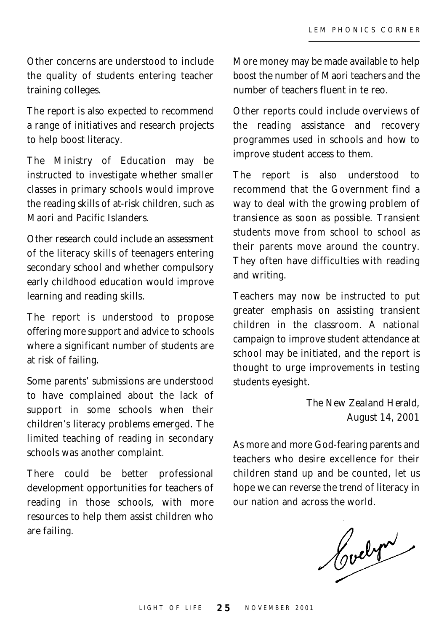Other concerns are understood to include the quality of students entering teacher training colleges.

The report is also expected to recommend a range of initiatives and research projects to help boost literacy.

The Ministry of Education may be instructed to investigate whether smaller classes in primary schools would improve the reading skills of at-risk children, such as Maori and Pacific Islanders.

Other research could include an assessment of the literacy skills of teenagers entering secondary school and whether compulsory early childhood education would improve learning and reading skills.

The report is understood to propose offering more support and advice to schools where a significant number of students are at risk of failing.

Some parents' submissions are understood to have complained about the lack of support in some schools when their children's literacy problems emerged. The limited teaching of reading in secondary schools was another complaint.

There could be better professional development opportunities for teachers of reading in those schools, with more resources to help them assist children who are failing.

More money may be made available to help boost the number of Maori teachers and the number of teachers fluent in te reo.

Other reports could include overviews of the reading assistance and recovery programmes used in schools and how to improve student access to them.

The report is also understood to recommend that the Government find a way to deal with the growing problem of transience as soon as possible. Transient students move from school to school as their parents move around the country. They often have difficulties with reading and writing.

Teachers may now be instructed to put greater emphasis on assisting transient children in the classroom. A national campaign to improve student attendance at school may be initiated, and the report is thought to urge improvements in testing students eyesight.

> *The New Zealand Herald*, August 14, 2001

As more and more God-fearing parents and teachers who desire excellence for their children stand up and be counted, let us hope we can reverse the trend of literacy in our nation and across the world.

Codet